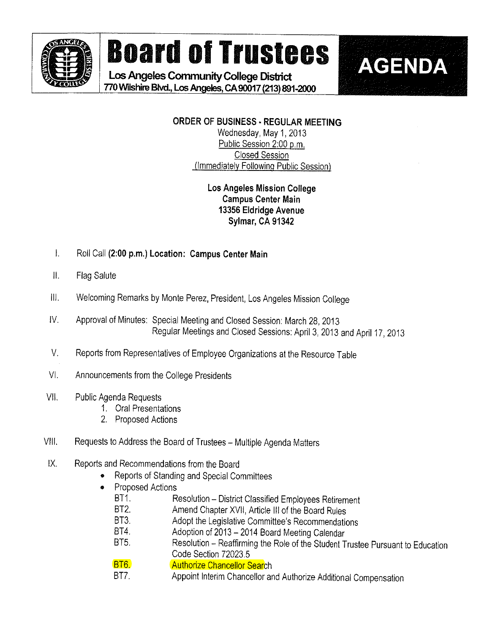

# **Board of Trustees | AGENDA**

Los Angeles Community College District 9. 770Wilshire Blvd., Los Angeles, CA 90017 (213) 891-2000

> ORDER OF BUSINESS - REGULAR MEETING Wednesday, May 1,2013 Public Session 2:00 p.m.

Closed Session (Immediately Following Public Session)

### Los Angeles Mission College Campus Center Main 13356 Eldridge Avenue Sylmar, CA 91342

- $\mathbf{L}$ Roll Call (2:00 p.m.) Location: Campus Center Main
- $\parallel$ . Fiag Salute
- II. Welcoming Remarks by Monte Perez, President, Los Angeles Mission College
- V. Approval of Minutes: Special Meeting and Ciosed Session: March 28,2013 Regular Meetings and Closed Sessions: April 3, 2013 and April 17,2013
- V. Reports from Representatives of Employee Organizations at the Resource Table
- VI. Announcements from the College Presidents
- V!l. Public Agenda Requests
	- 1. Oral Presentations
	- 2. Proposed Actions
- VIII. Requests to Address the Board of Trustees Multiple Agenda Matters
- X. Reports and Recommendations from the Board
	- Reports of Standing and Special Committees
	- e Proposed Actions
		- BT1. Resolution District Classified Employees Retirement<br>BT2. Amend Chanter XVII, Article III of the Board Rules
		- Amend Chapter XVII, Article III of the Board Rules
		- BT3. Adopt the Legislative Committee's Recommendations
		- BT4. Adoption of 2013 2014 Board Meeting Calendar<br>BT5. Resolution Reaffirming the Role of the Student T
		- Resolution Reaffirming the Role of the Student Trustee Pursuant to Education Code Section 72023.5
		- BT6. **Authorize Chancellor Search**
		- BT7. Appoint Interim Chancellor and Authorize Additional Compensation